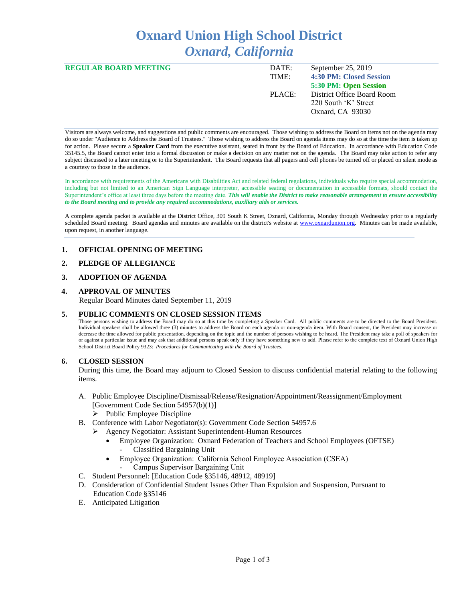# **Oxnard Union High School District** *Oxnard, California*

| <b>REGULAR BOARD MEETING</b> | DATE:  | September 25, 2019         |
|------------------------------|--------|----------------------------|
|                              | TIME:  | 4:30 PM: Closed Session    |
|                              |        | 5:30 PM: Open Session      |
|                              | PLACE: | District Office Board Room |
|                              |        | 220 South 'K' Street       |
|                              |        | Oxnard, CA 93030           |
|                              |        |                            |

Visitors are always welcome, and suggestions and public comments are encouraged. Those wishing to address the Board on items not on the agenda may do so under "Audience to Address the Board of Trustees." Those wishing to address the Board on agenda items may do so at the time the item is taken up for action. Please secure a **Speaker Card** from the executive assistant, seated in front by the Board of Education. In accordance with Education Code 35145.5, the Board cannot enter into a formal discussion or make a decision on any matter not on the agenda. The Board may take action to refer any subject discussed to a later meeting or to the Superintendent. The Board requests that all pagers and cell phones be turned off or placed on silent mode as a courtesy to those in the audience.

In accordance with requirements of the Americans with Disabilities Act and related federal regulations, individuals who require special accommodation, including but not limited to an American Sign Language interpreter, accessible seating or documentation in accessible formats, should contact the Superintendent's office at least three days before the meeting date. *This will enable the District to make reasonable arrangement to ensure accessibility to the Board meeting and to provide any required accommodations, auxiliary aids or services.* 

A complete agenda packet is available at the District Office, 309 South K Street, Oxnard, California, Monday through Wednesday prior to a regularly scheduled Board meeting. Board agendas and minutes are available on the district's website a[t www.ox](http://www.o/)nardunion.org.Minutes can be made available, upon request, in another language.

### **1. OFFICIAL OPENING OF MEETING**

#### **2. PLEDGE OF ALLEGIANCE**

#### **3. ADOPTION OF AGENDA**

#### **4. APPROVAL OF MINUTES**

Regular Board Minutes dated September 11, 2019

### **5. PUBLIC COMMENTS ON CLOSED SESSION ITEMS**

Those persons wishing to address the Board may do so at this time by completing a Speaker Card. All public comments are to be directed to the Board President. Individual speakers shall be allowed three (3) minutes to address the Board on each agenda or non-agenda item. With Board consent, the President may increase or decrease the time allowed for public presentation, depending on the topic and the number of persons wishing to be heard. The President may take a poll of speakers for or against a particular issue and may ask that additional persons speak only if they have something new to add. Please refer to the complete text of Oxnard Union High School District Board Policy 9323: *Procedures for Communicating with the Board of Trustees*.

### **6. CLOSED SESSION**

During this time, the Board may adjourn to Closed Session to discuss confidential material relating to the following items.

- A. Public Employee Discipline/Dismissal/Release/Resignation/Appointment/Reassignment/Employment [Government Code Section 54957(b)(1)] ➢ Public Employee Discipline
- B. Conference with Labor Negotiator(s): Government Code Section 54957.6
	- ➢ Agency Negotiator: Assistant Superintendent-Human Resources
		- Employee Organization: Oxnard Federation of Teachers and School Employees (OFTSE) - Classified Bargaining Unit
		- Employee Organization: California School Employee Association (CSEA)
			- Campus Supervisor Bargaining Unit
- C. Student Personnel: [Education Code §35146, 48912, 48919]
- D. Consideration of Confidential Student Issues Other Than Expulsion and Suspension, Pursuant to Education Code §35146
- E. Anticipated Litigation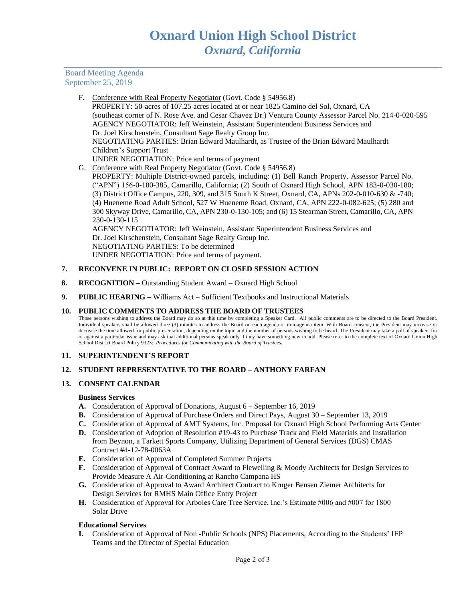Board Meeting Agenda September 25, 2019

> F. Conference with Real Property Negotiator (Govt. Code § 54956.8) PROPERTY: 50-acres of 107.25 acres located at or near 1825 Camino del Sol, Oxnard, CA (southeast corner of N. Rose Ave. and Cesar Chavez Dr.) Ventura County Assessor Parcel No. 214-0-020-595 AGENCY NEGOTIATOR: Jeff Weinstein, Assistant Superintendent Business Services and Dr. Joel Kirschenstein, Consultant Sage Realty Group Inc. NEGOTIATING PARTIES: Brian Edward Maulhardt, as Trustee of the Brian Edward Maulhardt Children's Support Trust UNDER NEGOTIATION: Price and terms of payment G. Conference with Real Property Negotiator (Govt. Code § 54956.8) PROPERTY: Multiple District-owned parcels, including: (1) Bell Ranch Property, Assessor Parcel No. ("APN") 156-0-180-385, Camarillo, California; (2) South of Oxnard High School, APN 183-0-030-180; (3) District Office Campus, 220, 309, and 315 South K Street, Oxnard, CA, APNs 202-0-010-630 & -740; (4) Hueneme Road Adult School, 527 W Hueneme Road, Oxnard, CA, APN 222-0-082-625; (5) 280 and 300 Skyway Drive, Camarillo, CA, APN 230-0-130-105; and (6) 15 Stearman Street, Camarillo, CA, APN 230-0-130-115 AGENCY NEGOTIATOR: Jeff Weinstein, Assistant Superintendent Business Services and Dr. Joel Kirschenstein, Consultant Sage Realty Group Inc. NEGOTIATING PARTIES: To be determined UNDER NEGOTIATION: Price and terms of payment.

### **7. RECONVENE IN PUBLIC: REPORT ON CLOSED SESSION ACTION**

- **8. RECOGNITION –** Outstanding Student Award Oxnard High School
- **9. PUBLIC HEARING –** Williams Act Sufficient Textbooks and Instructional Materials

### **10. PUBLIC COMMENTS TO ADDRESS THE BOARD OF TRUSTEES**

Those persons wishing to address the Board may do so at this time by completing a Speaker Card. All public comments are to be directed to the Board President. Individual speakers shall be allowed three (3) minutes to address the Board on each agenda or non-agenda item. With Board consent, the President may increase or decrease the time allowed for public presentation, depending on the topic and the number of persons wishing to be heard. The President may take a poll of speakers for or against a particular issue and may ask that additional persons speak only if they have something new to add. Please refer to the complete text of Oxnard Union High School District Board Policy 9323: *Procedures for Communicating with the Board of Trustees.*

### **11. SUPERINTENDENT'S REPORT**

### **12. STUDENT REPRESENTATIVE TO THE BOARD – ANTHONY FARFAN**

### **13. CONSENT CALENDAR**

#### **Business Services**

- **A.** Consideration of Approval of Donations, August 6 September 16, 2019
- **B.** Consideration of Approval of Purchase Orders and Direct Pays, August 30 September 13, 2019
- **C.** Consideration of Approval of AMT Systems, Inc. Proposal for Oxnard High School Performing Arts Center
- **D.** Consideration of Adoption of Resolution #19-43 to Purchase Track and Field Materials and Installation from Beynon, a Tarkett Sports Company, Utilizing Department of General Services (DGS) CMAS Contract #4-12-78-0063A
- **E.** Consideration of Approval of Completed Summer Projects
- **F.** Consideration of Approval of Contract Award to Flewelling & Moody Architects for Design Services to Provide Measure A Air-Conditioning at Rancho Campana HS
- **G.** Consideration of Approval to Award Architect Contract to Kruger Bensen Ziemer Architects for Design Services for RMHS Main Office Entry Project
- **H.** Consideration of Approval for Arboles Care Tree Service, Inc.'s Estimate #006 and #007 for 1800 Solar Drive

### **Educational Services**

**I.** Consideration of Approval of Non -Public Schools (NPS) Placements, According to the Students' IEP Teams and the Director of Special Education